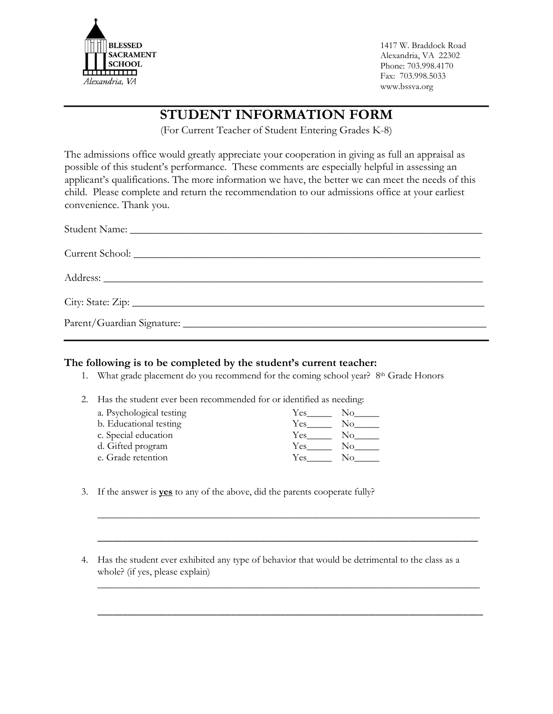

1417 W. Braddock Road Alexandria, VA 22302 Phone: 703.998.4170 Fax: 703.998.5033 www.bssva.org

## **STUDENT INFORMATION FORM**

(For Current Teacher of Student Entering Grades K-8)

The admissions office would greatly appreciate your cooperation in giving as full an appraisal as possible of this student's performance. These comments are especially helpful in assessing an applicant's qualifications. The more information we have, the better we can meet the needs of this child. Please complete and return the recommendation to our admissions office at your earliest convenience. Thank you.

## **The following is to be completed by the student's current teacher:**

1. What grade placement do you recommend for the coming school year? 8th Grade Honors

2. Has the student ever been recommended for or identified as needing:

| a. Psychological testing | Yes        | No  |
|--------------------------|------------|-----|
| b. Educational testing   | <b>Yes</b> | Nο  |
| c. Special education     | Yes        | No. |
| d. Gifted program        | Yes        | Nο  |
| e. Grade retention       | Yes        | Nο  |

- 3. If the answer is **yes** to any of the above, did the parents cooperate fully?
- 4. Has the student ever exhibited any type of behavior that would be detrimental to the class as a whole? (if yes, please explain)

\_\_\_\_\_\_\_\_\_\_\_\_\_\_\_\_\_\_\_\_\_\_\_\_\_\_\_\_\_\_\_\_\_\_\_\_\_\_\_\_\_\_\_\_\_\_\_\_\_\_\_\_\_\_\_\_\_\_\_\_\_\_\_\_\_\_\_\_\_\_\_\_\_\_\_\_\_

\_\_\_\_\_\_\_\_\_\_\_\_\_\_\_\_\_\_\_\_\_\_\_\_\_\_\_\_\_\_\_\_\_\_\_\_\_\_\_\_\_\_\_\_\_\_\_\_\_\_\_\_\_\_\_\_\_\_\_\_\_\_\_\_\_\_\_\_\_\_\_\_\_\_\_\_\_

\_\_\_\_\_\_\_\_\_\_\_\_\_\_\_\_\_\_\_\_\_\_\_\_\_\_\_\_\_\_\_\_\_\_\_\_\_\_\_\_\_\_\_\_\_\_\_\_\_\_\_\_\_\_\_\_\_\_\_\_\_\_\_\_\_\_\_\_\_\_\_\_\_\_\_\_\_

\_\_\_\_\_\_\_\_\_\_\_\_\_\_\_\_\_\_\_\_\_\_\_\_\_\_\_\_\_\_\_\_\_\_\_\_\_\_\_\_\_\_\_\_\_\_\_\_\_\_\_\_\_\_\_\_\_\_\_\_\_\_\_\_\_\_\_\_\_\_\_\_\_\_\_\_\_\_